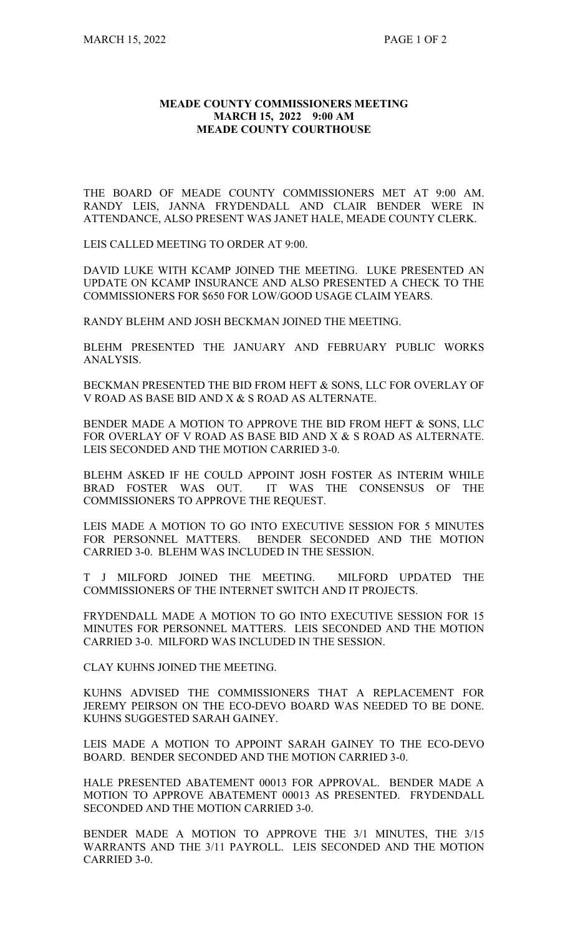## **MEADE COUNTY COMMISSIONERS MEETING MARCH 15, 2022 9:00 AM MEADE COUNTY COURTHOUSE**

THE BOARD OF MEADE COUNTY COMMISSIONERS MET AT 9:00 AM. RANDY LEIS, JANNA FRYDENDALL AND CLAIR BENDER WERE IN ATTENDANCE, ALSO PRESENT WAS JANET HALE, MEADE COUNTY CLERK.

LEIS CALLED MEETING TO ORDER AT 9:00.

DAVID LUKE WITH KCAMP JOINED THE MEETING. LUKE PRESENTED AN UPDATE ON KCAMP INSURANCE AND ALSO PRESENTED A CHECK TO THE COMMISSIONERS FOR \$650 FOR LOW/GOOD USAGE CLAIM YEARS.

RANDY BLEHM AND JOSH BECKMAN JOINED THE MEETING.

BLEHM PRESENTED THE JANUARY AND FEBRUARY PUBLIC WORKS ANALYSIS.

BECKMAN PRESENTED THE BID FROM HEFT & SONS, LLC FOR OVERLAY OF V ROAD AS BASE BID AND X & S ROAD AS ALTERNATE.

BENDER MADE A MOTION TO APPROVE THE BID FROM HEFT & SONS, LLC FOR OVERLAY OF V ROAD AS BASE BID AND X & S ROAD AS ALTERNATE. LEIS SECONDED AND THE MOTION CARRIED 3-0.

BLEHM ASKED IF HE COULD APPOINT JOSH FOSTER AS INTERIM WHILE BRAD FOSTER WAS OUT. IT WAS THE CONSENSUS OF THE COMMISSIONERS TO APPROVE THE REQUEST.

LEIS MADE A MOTION TO GO INTO EXECUTIVE SESSION FOR 5 MINUTES FOR PERSONNEL MATTERS. BENDER SECONDED AND THE MOTION CARRIED 3-0. BLEHM WAS INCLUDED IN THE SESSION.

T J MILFORD JOINED THE MEETING. MILFORD UPDATED THE COMMISSIONERS OF THE INTERNET SWITCH AND IT PROJECTS.

FRYDENDALL MADE A MOTION TO GO INTO EXECUTIVE SESSION FOR 15 MINUTES FOR PERSONNEL MATTERS. LEIS SECONDED AND THE MOTION CARRIED 3-0. MILFORD WAS INCLUDED IN THE SESSION.

CLAY KUHNS JOINED THE MEETING.

KUHNS ADVISED THE COMMISSIONERS THAT A REPLACEMENT FOR JEREMY PEIRSON ON THE ECO-DEVO BOARD WAS NEEDED TO BE DONE. KUHNS SUGGESTED SARAH GAINEY.

LEIS MADE A MOTION TO APPOINT SARAH GAINEY TO THE ECO-DEVO BOARD. BENDER SECONDED AND THE MOTION CARRIED 3-0.

HALE PRESENTED ABATEMENT 00013 FOR APPROVAL. BENDER MADE A MOTION TO APPROVE ABATEMENT 00013 AS PRESENTED. FRYDENDALL SECONDED AND THE MOTION CARRIED 3-0.

BENDER MADE A MOTION TO APPROVE THE 3/1 MINUTES, THE 3/15 WARRANTS AND THE 3/11 PAYROLL. LEIS SECONDED AND THE MOTION CARRIED 3-0.